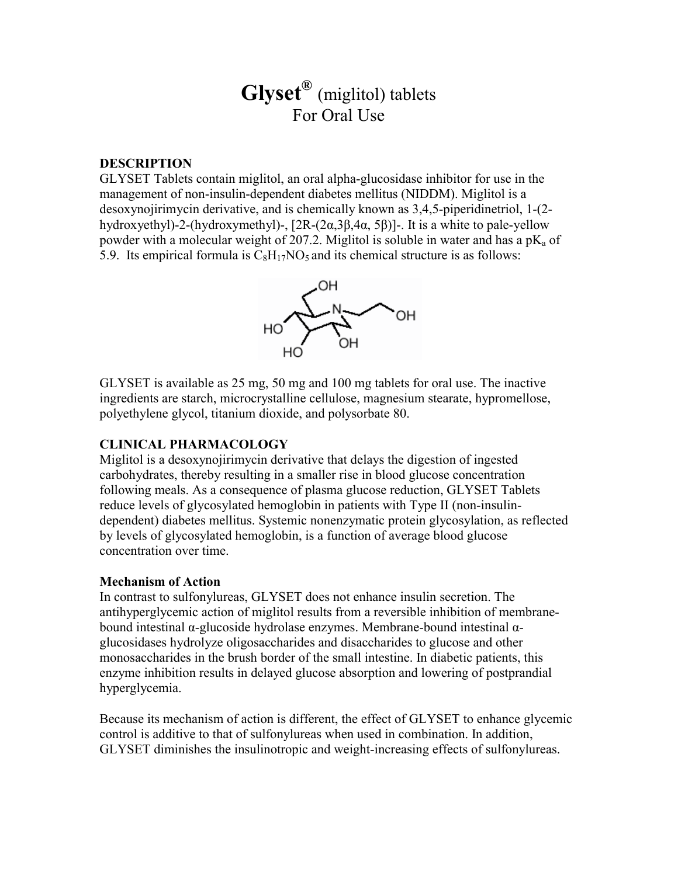# **Glyset®** (miglitol) tablets For Oral Use

#### **DESCRIPTION**

GLYSET Tablets contain miglitol, an oral alpha-glucosidase inhibitor for use in the management of non-insulin-dependent diabetes mellitus (NIDDM). Miglitol is a desoxynojirimycin derivative, and is chemically known as 3,4,5-piperidinetriol, 1-(2 hydroxyethyl)-2-(hydroxymethyl)-, [2R-(2α,3β,4α, 5β)]-. It is a white to pale-yellow powder with a molecular weight of 207.2. Miglitol is soluble in water and has a  $pK_a$  of 5.9. Its empirical formula is  $C_8H_{17}NO_5$  and its chemical structure is as follows:



GLYSET is available as 25 mg, 50 mg and 100 mg tablets for oral use. The inactive ingredients are starch, microcrystalline cellulose, magnesium stearate, hypromellose, polyethylene glycol, titanium dioxide, and polysorbate 80.

#### **CLINICAL PHARMACOLOGY**

Miglitol is a desoxynojirimycin derivative that delays the digestion of ingested carbohydrates, thereby resulting in a smaller rise in blood glucose concentration following meals. As a consequence of plasma glucose reduction, GLYSET Tablets reduce levels of glycosylated hemoglobin in patients with Type II (non-insulindependent) diabetes mellitus. Systemic nonenzymatic protein glycosylation, as reflected by levels of glycosylated hemoglobin, is a function of average blood glucose concentration over time.

#### **Mechanism of Action**

In contrast to sulfonylureas, GLYSET does not enhance insulin secretion. The antihyperglycemic action of miglitol results from a reversible inhibition of membranebound intestinal α-glucoside hydrolase enzymes. Membrane-bound intestinal αglucosidases hydrolyze oligosaccharides and disaccharides to glucose and other monosaccharides in the brush border of the small intestine. In diabetic patients, this enzyme inhibition results in delayed glucose absorption and lowering of postprandial hyperglycemia.

Because its mechanism of action is different, the effect of GLYSET to enhance glycemic control is additive to that of sulfonylureas when used in combination. In addition, GLYSET diminishes the insulinotropic and weight-increasing effects of sulfonylureas.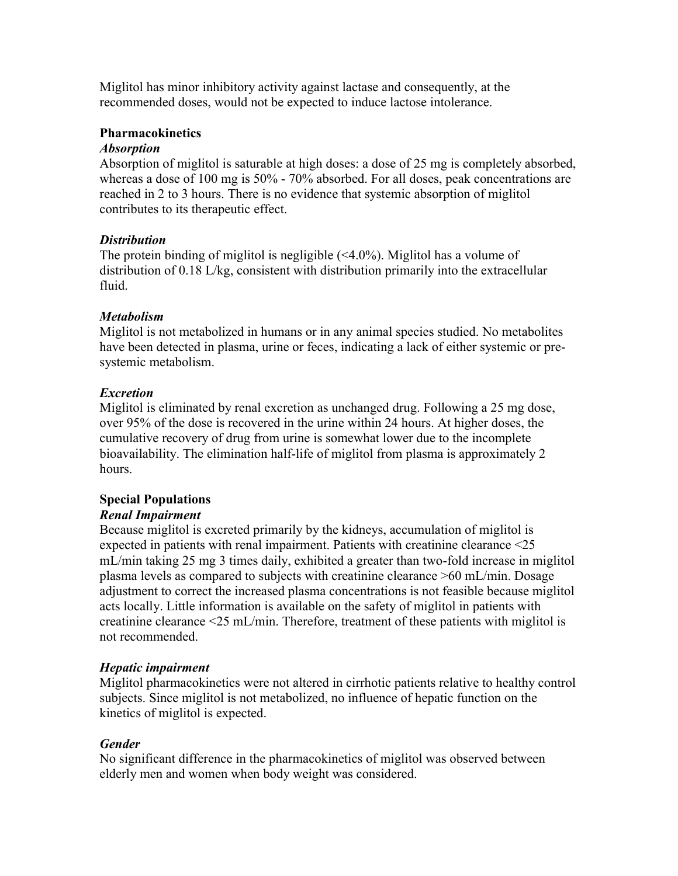Miglitol has minor inhibitory activity against lactase and consequently, at the recommended doses, would not be expected to induce lactose intolerance.

## **Pharmacokinetics**

### *Absorption*

Absorption of miglitol is saturable at high doses: a dose of 25 mg is completely absorbed, whereas a dose of 100 mg is 50% - 70% absorbed. For all doses, peak concentrations are reached in 2 to 3 hours. There is no evidence that systemic absorption of miglitol contributes to its therapeutic effect.

### *Distribution*

The protein binding of miglitol is negligible (<4.0%). Miglitol has a volume of distribution of 0.18 L/kg, consistent with distribution primarily into the extracellular fluid.

## *Metabolism*

Miglitol is not metabolized in humans or in any animal species studied. No metabolites have been detected in plasma, urine or feces, indicating a lack of either systemic or presystemic metabolism.

## *Excretion*

Miglitol is eliminated by renal excretion as unchanged drug. Following a 25 mg dose, over 95% of the dose is recovered in the urine within 24 hours. At higher doses, the cumulative recovery of drug from urine is somewhat lower due to the incomplete bioavailability. The elimination half-life of miglitol from plasma is approximately 2 hours.

## **Special Populations**

## *Renal Impairment*

Because miglitol is excreted primarily by the kidneys, accumulation of miglitol is expected in patients with renal impairment. Patients with creatinine clearance <25 mL/min taking 25 mg 3 times daily, exhibited a greater than two-fold increase in miglitol plasma levels as compared to subjects with creatinine clearance >60 mL/min. Dosage adjustment to correct the increased plasma concentrations is not feasible because miglitol acts locally. Little information is available on the safety of miglitol in patients with creatinine clearance <25 mL/min. Therefore, treatment of these patients with miglitol is not recommended.

## *Hepatic impairment*

Miglitol pharmacokinetics were not altered in cirrhotic patients relative to healthy control subjects. Since miglitol is not metabolized, no influence of hepatic function on the kinetics of miglitol is expected.

## *Gender*

No significant difference in the pharmacokinetics of miglitol was observed between elderly men and women when body weight was considered.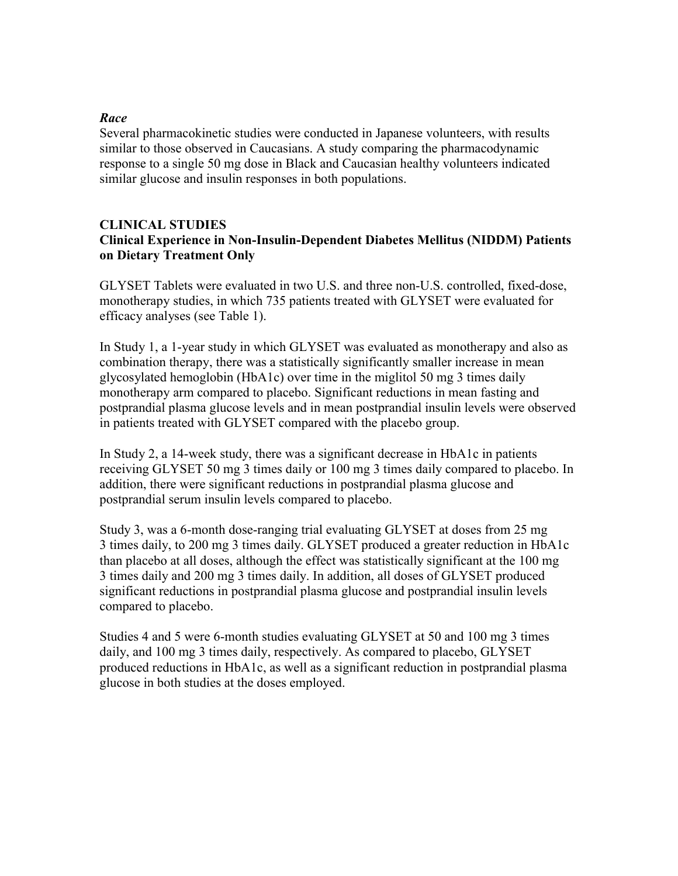#### *Race*

Several pharmacokinetic studies were conducted in Japanese volunteers, with results similar to those observed in Caucasians. A study comparing the pharmacodynamic response to a single 50 mg dose in Black and Caucasian healthy volunteers indicated similar glucose and insulin responses in both populations.

#### **CLINICAL STUDIES Clinical Experience in Non-Insulin-Dependent Diabetes Mellitus (NIDDM) Patients on Dietary Treatment Only**

GLYSET Tablets were evaluated in two U.S. and three non-U.S. controlled, fixed-dose, monotherapy studies, in which 735 patients treated with GLYSET were evaluated for efficacy analyses (see Table 1).

In Study 1, a 1-year study in which GLYSET was evaluated as monotherapy and also as combination therapy, there was a statistically significantly smaller increase in mean glycosylated hemoglobin (HbA1c) over time in the miglitol 50 mg 3 times daily monotherapy arm compared to placebo. Significant reductions in mean fasting and postprandial plasma glucose levels and in mean postprandial insulin levels were observed in patients treated with GLYSET compared with the placebo group.

In Study 2, a 14-week study, there was a significant decrease in HbA1c in patients receiving GLYSET 50 mg 3 times daily or 100 mg 3 times daily compared to placebo. In addition, there were significant reductions in postprandial plasma glucose and postprandial serum insulin levels compared to placebo.

Study 3, was a 6-month dose-ranging trial evaluating GLYSET at doses from 25 mg 3 times daily, to 200 mg 3 times daily. GLYSET produced a greater reduction in HbA1c than placebo at all doses, although the effect was statistically significant at the 100 mg 3 times daily and 200 mg 3 times daily. In addition, all doses of GLYSET produced significant reductions in postprandial plasma glucose and postprandial insulin levels compared to placebo.

Studies 4 and 5 were 6-month studies evaluating GLYSET at 50 and 100 mg 3 times daily, and 100 mg 3 times daily, respectively. As compared to placebo, GLYSET produced reductions in HbA1c, as well as a significant reduction in postprandial plasma glucose in both studies at the doses employed.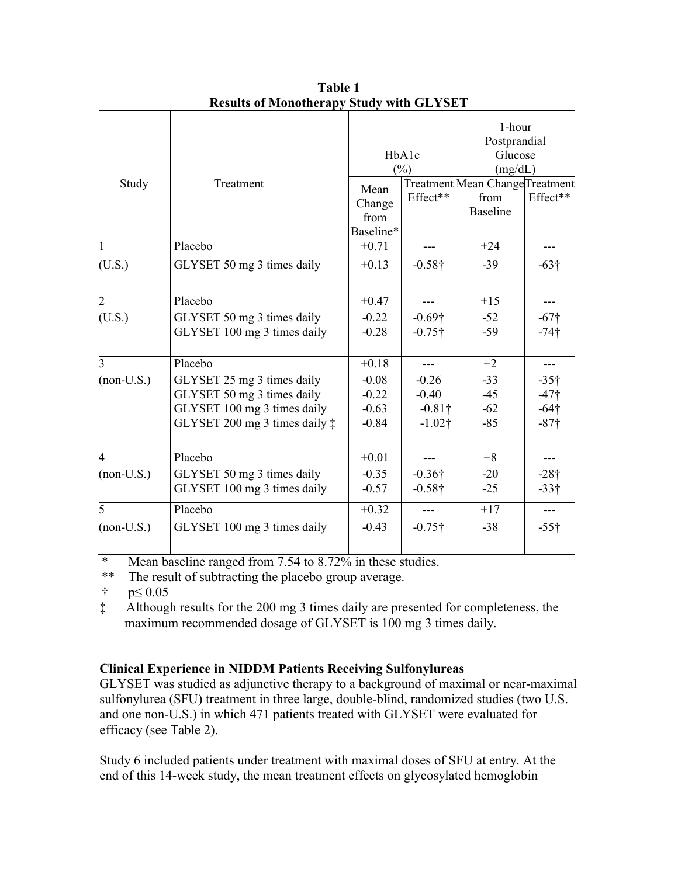| Study          | Treatment                                                 | Mean<br>Change<br>from<br>Baseline* | HbAlc<br>(%)<br>Effect**    | 1-hour<br>Postprandial<br>Glucose<br>(mg/dL)<br>Treatment Mean Change Treatment<br>from<br><b>Baseline</b> | Effect**           |
|----------------|-----------------------------------------------------------|-------------------------------------|-----------------------------|------------------------------------------------------------------------------------------------------------|--------------------|
| $\mathbf{1}$   | Placebo                                                   | $+0.71$                             |                             | $+24$                                                                                                      |                    |
| (U.S.)         | GLYSET 50 mg 3 times daily                                | $+0.13$                             | $-0.58\dagger$              | $-39$                                                                                                      | $-63\dagger$       |
| $\overline{2}$ | Placebo                                                   | $+0.47$                             | ---                         | $+15$                                                                                                      | $---$              |
| (U.S.)         | GLYSET 50 mg 3 times daily<br>GLYSET 100 mg 3 times daily | $-0.22$<br>$-0.28$                  | $-0.69$ †<br>$-0.75\dagger$ | $-52$<br>$-59$                                                                                             | $-67$ †<br>$-74$ † |
| $\overline{3}$ | Placebo                                                   | $+0.18$                             |                             | $+2$                                                                                                       |                    |
| $(non-U.S.)$   | GLYSET 25 mg 3 times daily                                | $-0.08$                             | $-0.26$                     | $-33$                                                                                                      | $-35$ †            |
|                | GLYSET 50 mg 3 times daily                                | $-0.22$                             | $-0.40$                     | $-45$                                                                                                      | $-47†$             |
|                | GLYSET 100 mg 3 times daily                               | $-0.63$                             | $-0.81\dagger$              | $-62$                                                                                                      | $-64$ †            |
|                | GLYSET 200 mg 3 times daily $\ddagger$                    | $-0.84$                             | $-1.02\dagger$              | $-85$                                                                                                      | $-87$ †            |
| $\overline{4}$ | Placebo                                                   | $+0.01$                             |                             | $+8$                                                                                                       | ---                |
| $non-U.S.$ )   | GLYSET 50 mg 3 times daily                                | $-0.35$                             | $-0.36\dagger$              | $-20$                                                                                                      | $-28†$             |
|                | GLYSET 100 mg 3 times daily                               | $-0.57$                             | $-0.58\dagger$              | $-25$                                                                                                      | $-33\dagger$       |
| $\overline{5}$ | Placebo                                                   | $+0.32$                             | ---                         | $+17$                                                                                                      | $---$              |
| $non-U.S.$ )   | GLYSET 100 mg 3 times daily                               | $-0.43$                             | $-0.75\dagger$              | $-38$                                                                                                      | $-55$ †            |
|                |                                                           |                                     |                             |                                                                                                            |                    |

**Table 1 Results of Monotherapy Study with GLYSET**

\* Mean baseline ranged from 7.54 to 8.72% in these studies.

\*\* The result of subtracting the placebo group average.

† p≤ 0.05

‡ Although results for the 200 mg 3 times daily are presented for completeness, the maximum recommended dosage of GLYSET is 100 mg 3 times daily.

## **Clinical Experience in NIDDM Patients Receiving Sulfonylureas**

GLYSET was studied as adjunctive therapy to a background of maximal or near-maximal sulfonylurea (SFU) treatment in three large, double-blind, randomized studies (two U.S. and one non-U.S.) in which 471 patients treated with GLYSET were evaluated for efficacy (see Table 2).

Study 6 included patients under treatment with maximal doses of SFU at entry. At the end of this 14-week study, the mean treatment effects on glycosylated hemoglobin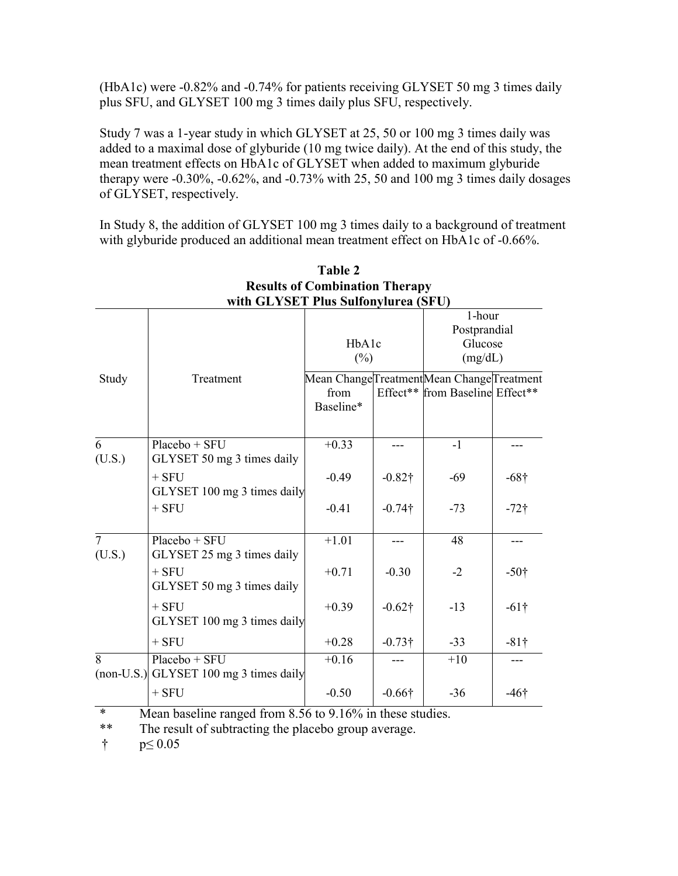(HbA1c) were -0.82% and -0.74% for patients receiving GLYSET 50 mg 3 times daily plus SFU, and GLYSET 100 mg 3 times daily plus SFU, respectively.

Study 7 was a 1-year study in which GLYSET at 25, 50 or 100 mg 3 times daily was added to a maximal dose of glyburide (10 mg twice daily). At the end of this study, the mean treatment effects on HbA1c of GLYSET when added to maximum glyburide therapy were  $-0.30\%$ ,  $-0.62\%$ , and  $-0.73\%$  with 25, 50 and 100 mg 3 times daily dosages of GLYSET, respectively.

In Study 8, the addition of GLYSET 100 mg 3 times daily to a background of treatment with glyburide produced an additional mean treatment effect on HbA1c of -0.66%.

|                          |                                                                | <b>Results of Combination Therapy</b>                  |                |                                                                                |                    |
|--------------------------|----------------------------------------------------------------|--------------------------------------------------------|----------------|--------------------------------------------------------------------------------|--------------------|
|                          |                                                                | with GLYSET Plus Sulfonylurea (SFU)<br>HbAlc<br>$(\%)$ |                | 1-hour<br>Postprandial<br>Glucose<br>(mg/dL)                                   |                    |
| Study                    | Treatment                                                      | from<br>Baseline*                                      |                | Mean Change Treatment Mean Change Treatment<br>Effect** from Baseline Effect** |                    |
| 6<br>(U.S.)              | Placebo + SFU<br>GLYSET 50 mg 3 times daily                    | $+0.33$                                                |                | $-1$                                                                           |                    |
|                          | $+$ SFU<br>GLYSET 100 mg 3 times daily                         | $-0.49$                                                | $-0.82\dagger$ | $-69$                                                                          | $-68+$             |
|                          | $+$ SFU                                                        | $-0.41$                                                | $-0.74$ †      | $-73$                                                                          | $-72$ †            |
| $\overline{7}$<br>(U.S.) | Placebo + SFU<br>GLYSET 25 mg 3 times daily                    | $+1.01$                                                |                | 48                                                                             |                    |
|                          | $+$ SFU<br>GLYSET 50 mg 3 times daily                          | $+0.71$                                                | $-0.30$        | $-2$                                                                           | $-50+$             |
|                          | $+$ SFU<br>GLYSET 100 mg 3 times daily                         | $+0.39$                                                | $-0.62\dagger$ | $-13$                                                                          | $-61\dagger$       |
|                          | $+$ SFU                                                        | $+0.28$                                                | $-0.73\dagger$ | $-33$                                                                          | $-81$ <sup>+</sup> |
| $\overline{8}$           | $Placebo + SFU$<br>(non-U.S.) GLYSET 100 mg 3 times daily      | $+0.16$                                                |                | $+10$                                                                          |                    |
|                          | $+$ SFU                                                        | $-0.50$                                                | $-0.66\dagger$ | $-36$                                                                          | $-46†$             |
| $\ast$                   | Mean baseline ranged from $8.56$ to $9.16\%$ in these studies. |                                                        |                |                                                                                |                    |

## **Table 2 Results of Combination Therapy**

\* Mean baseline ranged from 8.56 to 9.16% in these studies.

\*\* The result of subtracting the placebo group average.

† p≤ 0.05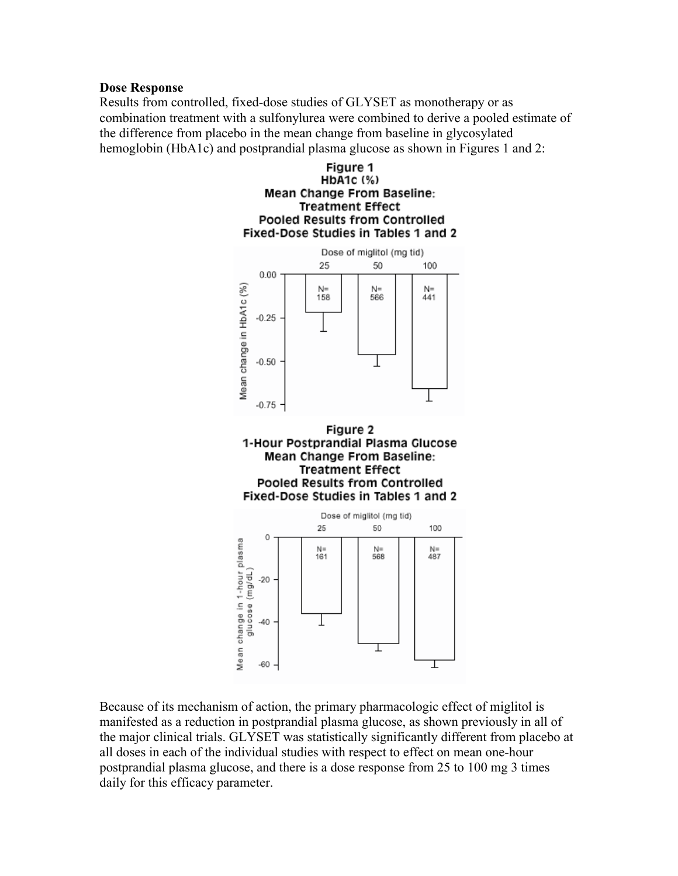#### **Dose Response**

Results from controlled, fixed-dose studies of GLYSET as monotherapy or as combination treatment with a sulfonylurea were combined to derive a pooled estimate of the difference from placebo in the mean change from baseline in glycosylated hemoglobin (HbA1c) and postprandial plasma glucose as shown in Figures 1 and 2:



Because of its mechanism of action, the primary pharmacologic effect of miglitol is manifested as a reduction in postprandial plasma glucose, as shown previously in all of the major clinical trials. GLYSET was statistically significantly different from placebo at all doses in each of the individual studies with respect to effect on mean one-hour postprandial plasma glucose, and there is a dose response from 25 to 100 mg 3 times daily for this efficacy parameter.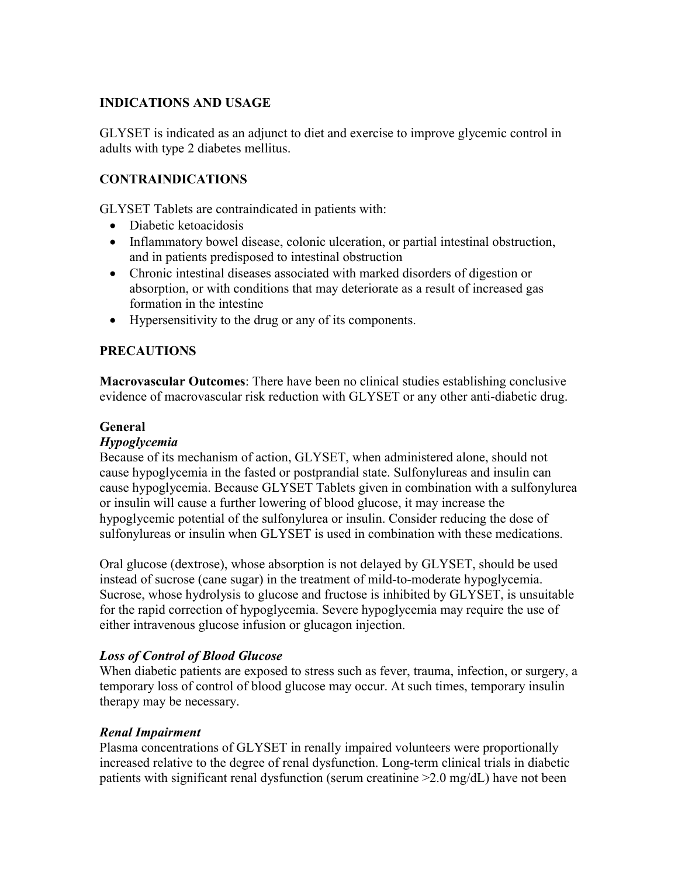### **INDICATIONS AND USAGE**

GLYSET is indicated as an adjunct to diet and exercise to improve glycemic control in adults with type 2 diabetes mellitus.

## **CONTRAINDICATIONS**

GLYSET Tablets are contraindicated in patients with:

- Diabetic ketoacidosis
- Inflammatory bowel disease, colonic ulceration, or partial intestinal obstruction, and in patients predisposed to intestinal obstruction
- Chronic intestinal diseases associated with marked disorders of digestion or absorption, or with conditions that may deteriorate as a result of increased gas formation in the intestine
- Hypersensitivity to the drug or any of its components.

### **PRECAUTIONS**

**Macrovascular Outcomes**: There have been no clinical studies establishing conclusive evidence of macrovascular risk reduction with GLYSET or any other anti-diabetic drug.

#### **General**

#### *Hypoglycemia*

Because of its mechanism of action, GLYSET, when administered alone, should not cause hypoglycemia in the fasted or postprandial state. Sulfonylureas and insulin can cause hypoglycemia. Because GLYSET Tablets given in combination with a sulfonylurea or insulin will cause a further lowering of blood glucose, it may increase the hypoglycemic potential of the sulfonylurea or insulin. Consider reducing the dose of sulfonylureas or insulin when GLYSET is used in combination with these medications.

Oral glucose (dextrose), whose absorption is not delayed by GLYSET, should be used instead of sucrose (cane sugar) in the treatment of mild-to-moderate hypoglycemia. Sucrose, whose hydrolysis to glucose and fructose is inhibited by GLYSET, is unsuitable for the rapid correction of hypoglycemia. Severe hypoglycemia may require the use of either intravenous glucose infusion or glucagon injection.

### *Loss of Control of Blood Glucose*

When diabetic patients are exposed to stress such as fever, trauma, infection, or surgery, a temporary loss of control of blood glucose may occur. At such times, temporary insulin therapy may be necessary.

#### *Renal Impairment*

Plasma concentrations of GLYSET in renally impaired volunteers were proportionally increased relative to the degree of renal dysfunction. Long-term clinical trials in diabetic patients with significant renal dysfunction (serum creatinine  $\geq 2.0$  mg/dL) have not been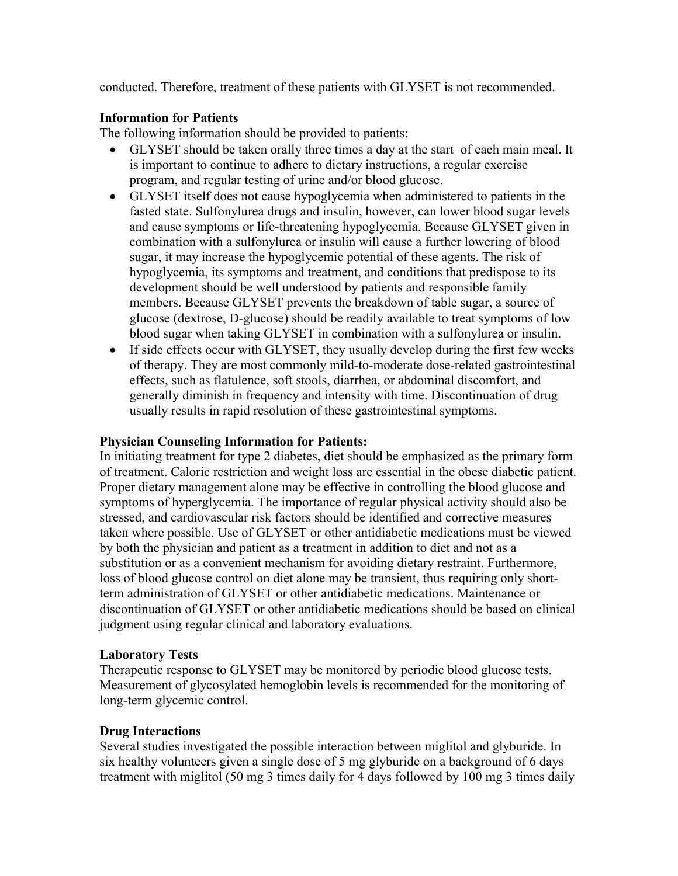conducted. Therefore, treatment of these patients with GLYSET is not recommended.

#### **Information for Patients**

The following information should be provided to patients:

- GLYSET should be taken orally three times a day at the start of each main meal. It is important to continue to adhere to dietary instructions, a regular exercise program, and regular testing of urine and/or blood glucose.
- GLYSET itself does not cause hypoglycemia when administered to patients in the fasted state. Sulfonylurea drugs and insulin, however, can lower blood sugar levels and cause symptoms or life-threatening hypoglycemia. Because GLYSET given in combination with a sulfonylurea or insulin will cause a further lowering of blood sugar, it may increase the hypoglycemic potential of these agents. The risk of hypoglycemia, its symptoms and treatment, and conditions that predispose to its development should be well understood by patients and responsible family members. Because GLYSET prevents the breakdown of table sugar, a source of glucose (dextrose, D-glucose) should be readily available to treat symptoms of low blood sugar when taking GLYSET in combination with a sulfonylurea or insulin.
- If side effects occur with GLYSET, they usually develop during the first few weeks of therapy. They are most commonly mild-to-moderate dose-related gastrointestinal effects, such as flatulence, soft stools, diarrhea, or abdominal discomfort, and generally diminish in frequency and intensity with time. Discontinuation of drug usually results in rapid resolution of these gastrointestinal symptoms.

#### **Physician Counseling Information for Patients:**

In initiating treatment for type 2 diabetes, diet should be emphasized as the primary form of treatment. Caloric restriction and weight loss are essential in the obese diabetic patient. Proper dietary management alone may be effective in controlling the blood glucose and symptoms of hyperglycemia. The importance of regular physical activity should also be stressed, and cardiovascular risk factors should be identified and corrective measures taken where possible. Use of GLYSET or other antidiabetic medications must be viewed by both the physician and patient as a treatment in addition to diet and not as a substitution or as a convenient mechanism for avoiding dietary restraint. Furthermore, loss of blood glucose control on diet alone may be transient, thus requiring only shortterm administration of GLYSET or other antidiabetic medications. Maintenance or discontinuation of GLYSET or other antidiabetic medications should be based on clinical judgment using regular clinical and laboratory evaluations.

### **Laboratory Tests**

Therapeutic response to GLYSET may be monitored by periodic blood glucose tests. Measurement of glycosylated hemoglobin levels is recommended for the monitoring of long-term glycemic control.

#### **Drug Interactions**

Several studies investigated the possible interaction between miglitol and glyburide. In six healthy volunteers given a single dose of 5 mg glyburide on a background of 6 days treatment with miglitol (50 mg 3 times daily for 4 days followed by 100 mg 3 times daily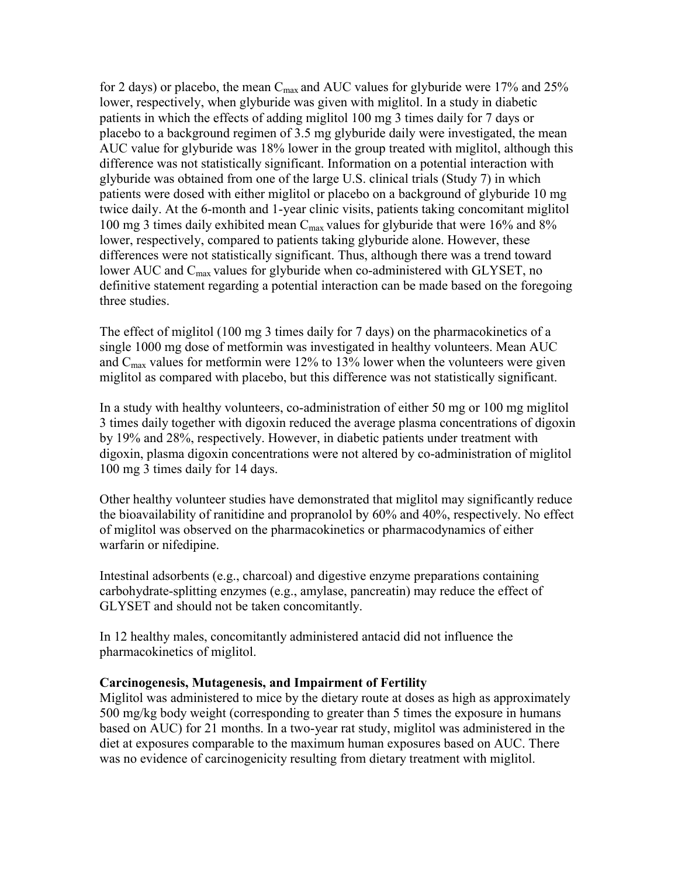for 2 days) or placebo, the mean  $C_{\text{max}}$  and AUC values for glyburide were 17% and 25% lower, respectively, when glyburide was given with miglitol. In a study in diabetic patients in which the effects of adding miglitol 100 mg 3 times daily for 7 days or placebo to a background regimen of 3.5 mg glyburide daily were investigated, the mean AUC value for glyburide was 18% lower in the group treated with miglitol, although this difference was not statistically significant. Information on a potential interaction with glyburide was obtained from one of the large U.S. clinical trials (Study 7) in which patients were dosed with either miglitol or placebo on a background of glyburide 10 mg twice daily. At the 6-month and 1-year clinic visits, patients taking concomitant miglitol 100 mg 3 times daily exhibited mean Cmax values for glyburide that were 16% and 8% lower, respectively, compared to patients taking glyburide alone. However, these differences were not statistically significant. Thus, although there was a trend toward lower AUC and  $C_{\text{max}}$  values for glyburide when co-administered with GLYSET, no definitive statement regarding a potential interaction can be made based on the foregoing three studies.

The effect of miglitol (100 mg 3 times daily for 7 days) on the pharmacokinetics of a single 1000 mg dose of metformin was investigated in healthy volunteers. Mean AUC and  $C_{\text{max}}$  values for metformin were 12% to 13% lower when the volunteers were given miglitol as compared with placebo, but this difference was not statistically significant.

In a study with healthy volunteers, co-administration of either 50 mg or 100 mg miglitol 3 times daily together with digoxin reduced the average plasma concentrations of digoxin by 19% and 28%, respectively. However, in diabetic patients under treatment with digoxin, plasma digoxin concentrations were not altered by co-administration of miglitol 100 mg 3 times daily for 14 days.

Other healthy volunteer studies have demonstrated that miglitol may significantly reduce the bioavailability of ranitidine and propranolol by 60% and 40%, respectively. No effect of miglitol was observed on the pharmacokinetics or pharmacodynamics of either warfarin or nifedipine.

Intestinal adsorbents (e.g., charcoal) and digestive enzyme preparations containing carbohydrate-splitting enzymes (e.g., amylase, pancreatin) may reduce the effect of GLYSET and should not be taken concomitantly.

In 12 healthy males, concomitantly administered antacid did not influence the pharmacokinetics of miglitol.

#### **Carcinogenesis, Mutagenesis, and Impairment of Fertility**

Miglitol was administered to mice by the dietary route at doses as high as approximately 500 mg/kg body weight (corresponding to greater than 5 times the exposure in humans based on AUC) for 21 months. In a two-year rat study, miglitol was administered in the diet at exposures comparable to the maximum human exposures based on AUC. There was no evidence of carcinogenicity resulting from dietary treatment with miglitol.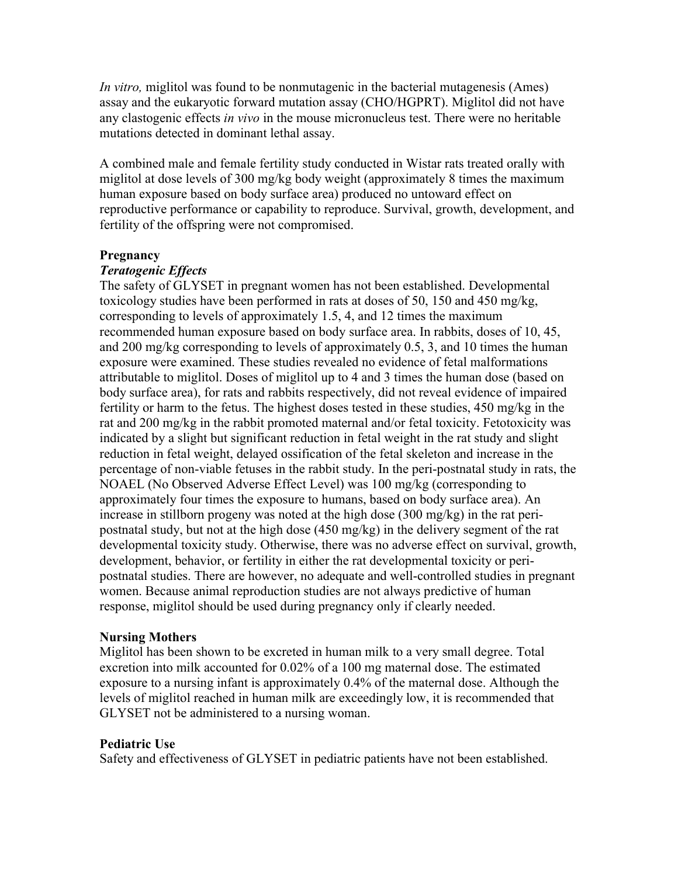*In vitro,* miglitol was found to be nonmutagenic in the bacterial mutagenesis (Ames) assay and the eukaryotic forward mutation assay (CHO/HGPRT). Miglitol did not have any clastogenic effects *in vivo* in the mouse micronucleus test. There were no heritable mutations detected in dominant lethal assay.

A combined male and female fertility study conducted in Wistar rats treated orally with miglitol at dose levels of 300 mg/kg body weight (approximately 8 times the maximum human exposure based on body surface area) produced no untoward effect on reproductive performance or capability to reproduce. Survival, growth, development, and fertility of the offspring were not compromised.

#### **Pregnancy**

#### *Teratogenic Effects*

The safety of GLYSET in pregnant women has not been established. Developmental toxicology studies have been performed in rats at doses of 50, 150 and 450 mg/kg, corresponding to levels of approximately 1.5, 4, and 12 times the maximum recommended human exposure based on body surface area. In rabbits, doses of 10, 45, and 200 mg/kg corresponding to levels of approximately 0.5, 3, and 10 times the human exposure were examined. These studies revealed no evidence of fetal malformations attributable to miglitol. Doses of miglitol up to 4 and 3 times the human dose (based on body surface area), for rats and rabbits respectively, did not reveal evidence of impaired fertility or harm to the fetus. The highest doses tested in these studies, 450 mg/kg in the rat and 200 mg/kg in the rabbit promoted maternal and/or fetal toxicity. Fetotoxicity was indicated by a slight but significant reduction in fetal weight in the rat study and slight reduction in fetal weight, delayed ossification of the fetal skeleton and increase in the percentage of non-viable fetuses in the rabbit study. In the peri-postnatal study in rats, the NOAEL (No Observed Adverse Effect Level) was 100 mg/kg (corresponding to approximately four times the exposure to humans, based on body surface area). An increase in stillborn progeny was noted at the high dose (300 mg/kg) in the rat peripostnatal study, but not at the high dose (450 mg/kg) in the delivery segment of the rat developmental toxicity study. Otherwise, there was no adverse effect on survival, growth, development, behavior, or fertility in either the rat developmental toxicity or peripostnatal studies. There are however, no adequate and well-controlled studies in pregnant women. Because animal reproduction studies are not always predictive of human response, miglitol should be used during pregnancy only if clearly needed.

### **Nursing Mothers**

Miglitol has been shown to be excreted in human milk to a very small degree. Total excretion into milk accounted for 0.02% of a 100 mg maternal dose. The estimated exposure to a nursing infant is approximately 0.4% of the maternal dose. Although the levels of miglitol reached in human milk are exceedingly low, it is recommended that GLYSET not be administered to a nursing woman.

#### **Pediatric Use**

Safety and effectiveness of GLYSET in pediatric patients have not been established.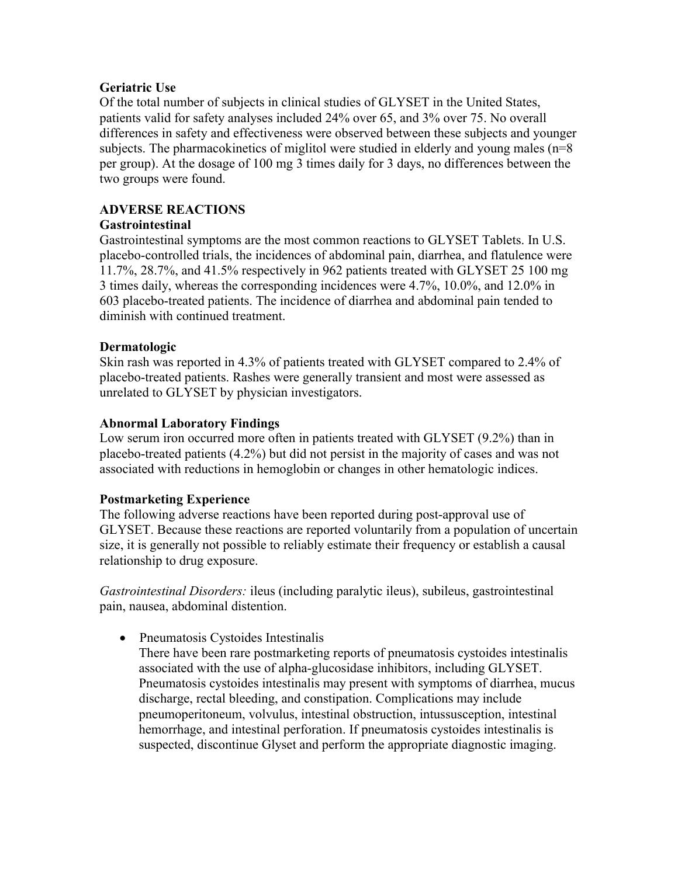#### **Geriatric Use**

Of the total number of subjects in clinical studies of GLYSET in the United States, patients valid for safety analyses included 24% over 65, and 3% over 75. No overall differences in safety and effectiveness were observed between these subjects and younger subjects. The pharmacokinetics of miglitol were studied in elderly and young males (n=8) per group). At the dosage of 100 mg 3 times daily for 3 days, no differences between the two groups were found.

## **ADVERSE REACTIONS**

#### **Gastrointestinal**

Gastrointestinal symptoms are the most common reactions to GLYSET Tablets. In U.S. placebo-controlled trials, the incidences of abdominal pain, diarrhea, and flatulence were 11.7%, 28.7%, and 41.5% respectively in 962 patients treated with GLYSET 25 100 mg 3 times daily, whereas the corresponding incidences were 4.7%, 10.0%, and 12.0% in 603 placebo-treated patients. The incidence of diarrhea and abdominal pain tended to diminish with continued treatment.

#### **Dermatologic**

Skin rash was reported in 4.3% of patients treated with GLYSET compared to 2.4% of placebo-treated patients. Rashes were generally transient and most were assessed as unrelated to GLYSET by physician investigators.

#### **Abnormal Laboratory Findings**

Low serum iron occurred more often in patients treated with GLYSET (9.2%) than in placebo-treated patients (4.2%) but did not persist in the majority of cases and was not associated with reductions in hemoglobin or changes in other hematologic indices.

#### **Postmarketing Experience**

The following adverse reactions have been reported during post-approval use of GLYSET. Because these reactions are reported voluntarily from a population of uncertain size, it is generally not possible to reliably estimate their frequency or establish a causal relationship to drug exposure.

*Gastrointestinal Disorders:* ileus (including paralytic ileus), subileus, gastrointestinal pain, nausea, abdominal distention.

- Pneumatosis Cystoides Intestinalis
	- There have been rare postmarketing reports of pneumatosis cystoides intestinalis associated with the use of alpha-glucosidase inhibitors, including GLYSET. Pneumatosis cystoides intestinalis may present with symptoms of diarrhea, mucus discharge, rectal bleeding, and constipation. Complications may include pneumoperitoneum, volvulus, intestinal obstruction, intussusception, intestinal hemorrhage, and intestinal perforation. If pneumatosis cystoides intestinalis is suspected, discontinue Glyset and perform the appropriate diagnostic imaging.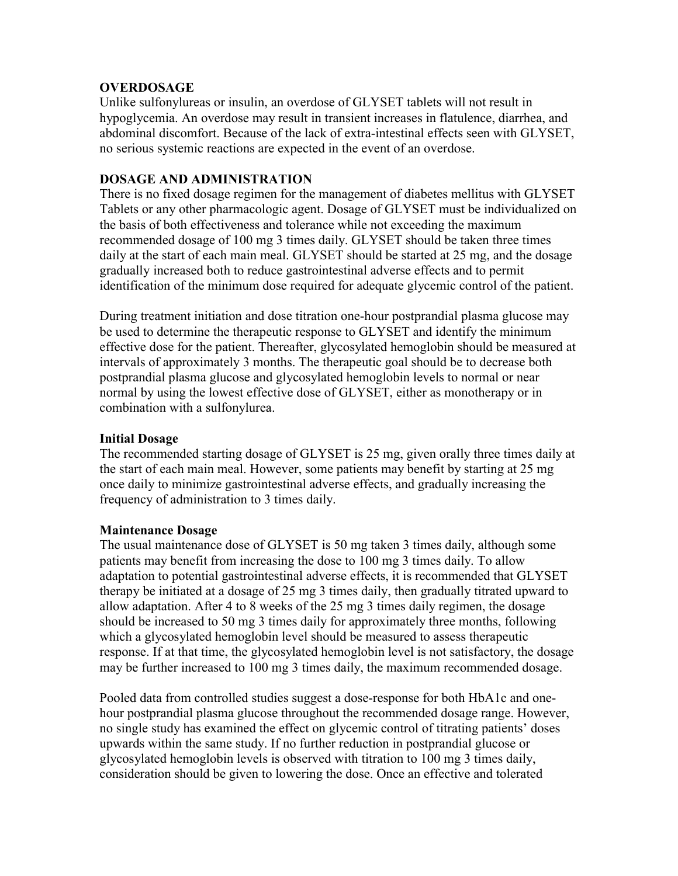#### **OVERDOSAGE**

Unlike sulfonylureas or insulin, an overdose of GLYSET tablets will not result in hypoglycemia. An overdose may result in transient increases in flatulence, diarrhea, and abdominal discomfort. Because of the lack of extra-intestinal effects seen with GLYSET, no serious systemic reactions are expected in the event of an overdose.

#### **DOSAGE AND ADMINISTRATION**

There is no fixed dosage regimen for the management of diabetes mellitus with GLYSET Tablets or any other pharmacologic agent. Dosage of GLYSET must be individualized on the basis of both effectiveness and tolerance while not exceeding the maximum recommended dosage of 100 mg 3 times daily. GLYSET should be taken three times daily at the start of each main meal. GLYSET should be started at 25 mg, and the dosage gradually increased both to reduce gastrointestinal adverse effects and to permit identification of the minimum dose required for adequate glycemic control of the patient.

During treatment initiation and dose titration one-hour postprandial plasma glucose may be used to determine the therapeutic response to GLYSET and identify the minimum effective dose for the patient. Thereafter, glycosylated hemoglobin should be measured at intervals of approximately 3 months. The therapeutic goal should be to decrease both postprandial plasma glucose and glycosylated hemoglobin levels to normal or near normal by using the lowest effective dose of GLYSET, either as monotherapy or in combination with a sulfonylurea.

#### **Initial Dosage**

The recommended starting dosage of GLYSET is 25 mg, given orally three times daily at the start of each main meal. However, some patients may benefit by starting at 25 mg once daily to minimize gastrointestinal adverse effects, and gradually increasing the frequency of administration to 3 times daily.

#### **Maintenance Dosage**

The usual maintenance dose of GLYSET is 50 mg taken 3 times daily, although some patients may benefit from increasing the dose to 100 mg 3 times daily. To allow adaptation to potential gastrointestinal adverse effects, it is recommended that GLYSET therapy be initiated at a dosage of 25 mg 3 times daily, then gradually titrated upward to allow adaptation. After 4 to 8 weeks of the 25 mg 3 times daily regimen, the dosage should be increased to 50 mg 3 times daily for approximately three months, following which a glycosylated hemoglobin level should be measured to assess therapeutic response. If at that time, the glycosylated hemoglobin level is not satisfactory, the dosage may be further increased to 100 mg 3 times daily, the maximum recommended dosage.

Pooled data from controlled studies suggest a dose-response for both HbA1c and onehour postprandial plasma glucose throughout the recommended dosage range. However, no single study has examined the effect on glycemic control of titrating patients' doses upwards within the same study. If no further reduction in postprandial glucose or glycosylated hemoglobin levels is observed with titration to 100 mg 3 times daily, consideration should be given to lowering the dose. Once an effective and tolerated